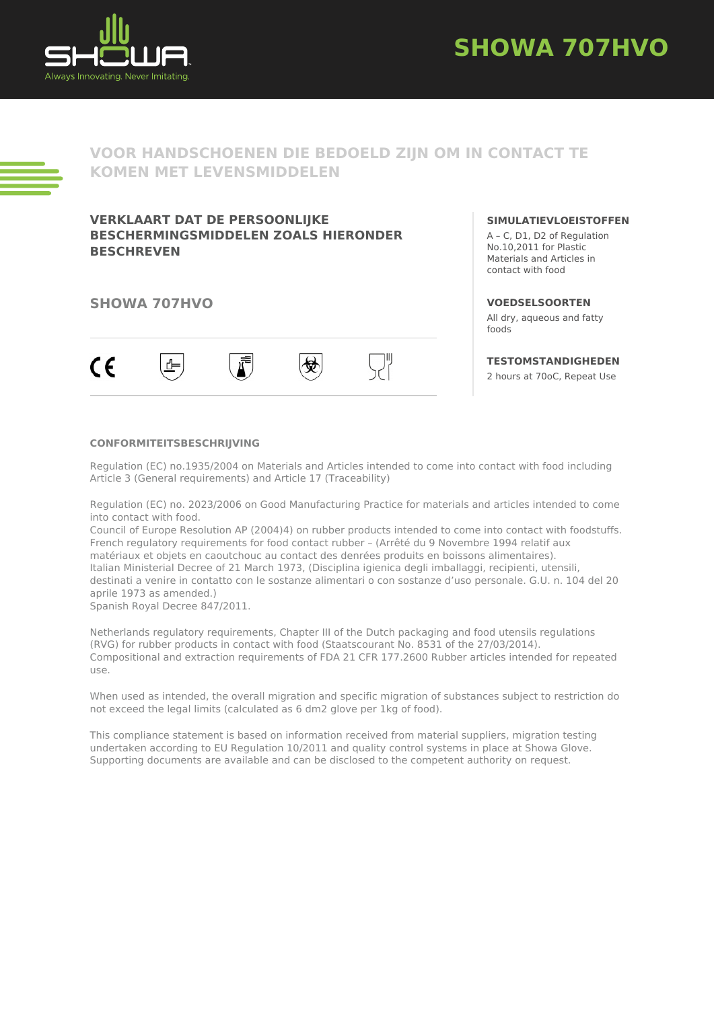



## **VOOR HANDSCHOENEN DIE BEDOELD ZIJN OM IN CONTACT TE KOMEN MET LEVENSMIDDELEN**

### **VERKLAART DAT DE PERSOONLIJKE BESCHERMINGSMIDDELEN ZOALS HIERONDER BESCHREVEN**

## **SHOWA 707HVO**



**SIMULATIEVLOEISTOFFEN**

A – C, D1, D2 of Regulation No.10,2011 for Plastic Materials and Articles in contact with food

#### **VOEDSELSOORTEN**

All dry, aqueous and fatty foods

**TESTOMSTANDIGHEDEN** 2 hours at 70oC, Repeat Use

#### **CONFORMITEITSBESCHRIJVING**

Regulation (EC) no.1935/2004 on Materials and Articles intended to come into contact with food including Article 3 (General requirements) and Article 17 (Traceability)

Regulation (EC) no. 2023/2006 on Good Manufacturing Practice for materials and articles intended to come into contact with food.

Council of Europe Resolution AP (2004)4) on rubber products intended to come into contact with foodstuffs. French regulatory requirements for food contact rubber – (Arrêté du 9 Novembre 1994 relatif aux matériaux et objets en caoutchouc au contact des denrées produits en boissons alimentaires). Italian Ministerial Decree of 21 March 1973, (Disciplina igienica degli imballaggi, recipienti, utensili, destinati a venire in contatto con le sostanze alimentari o con sostanze d'uso personale. G.U. n. 104 del 20 aprile 1973 as amended.)

Spanish Royal Decree 847/2011.

Netherlands regulatory requirements, Chapter III of the Dutch packaging and food utensils regulations (RVG) for rubber products in contact with food (Staatscourant No. 8531 of the 27/03/2014). Compositional and extraction requirements of FDA 21 CFR 177.2600 Rubber articles intended for repeated use.

When used as intended, the overall migration and specific migration of substances subject to restriction do not exceed the legal limits (calculated as 6 dm2 glove per 1kg of food).

This compliance statement is based on information received from material suppliers, migration testing undertaken according to EU Regulation 10/2011 and quality control systems in place at Showa Glove. Supporting documents are available and can be disclosed to the competent authority on request.